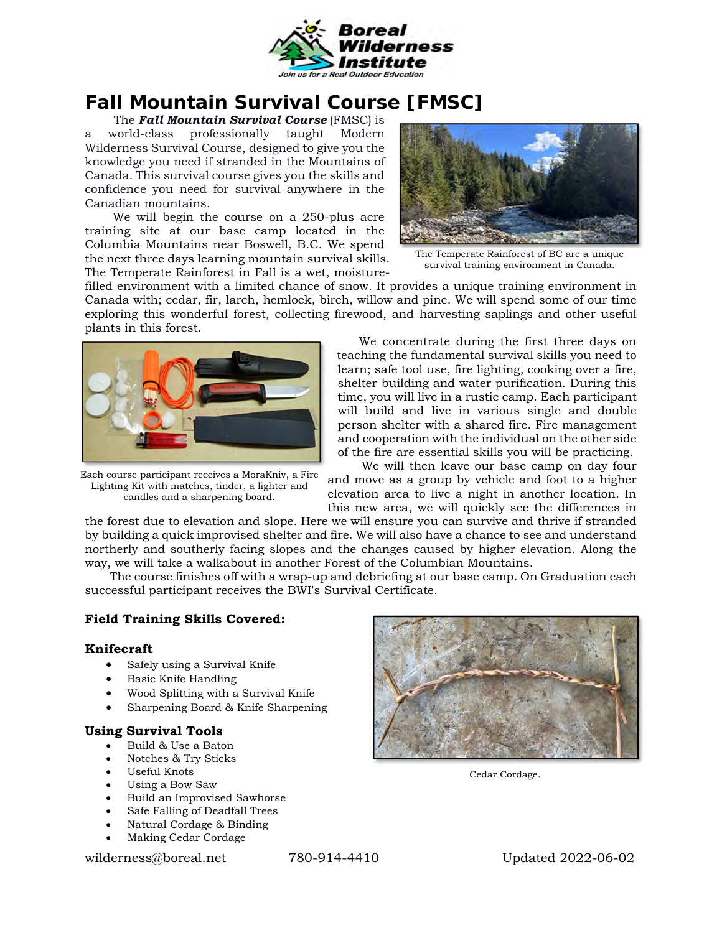

# **Fall Mountain Survival Course [FMSC]**

 The *Fall Mountain Survival Course* (FMSC) is a world-class professionally taught Modern Wilderness Survival Course, designed to give you the knowledge you need if stranded in the Mountains of Canada. This survival course gives you the skills and confidence you need for survival anywhere in the Canadian mountains.

We will begin the course on a 250-plus acre training site at our base camp located in the Columbia Mountains near Boswell, B.C. We spend the next three days learning mountain survival skills. The Temperate Rainforest in Fall is a wet, moisture-



The Temperate Rainforest of BC are a unique survival training environment in Canada.

filled environment with a limited chance of snow. It provides a unique training environment in Canada with; cedar, fir, larch, hemlock, birch, willow and pine. We will spend some of our time exploring this wonderful forest, collecting firewood, and harvesting saplings and other useful plants in this forest.



Each course participant receives a MoraKniv, a Fire Lighting Kit with matches, tinder, a lighter and candles and a sharpening board.

We concentrate during the first three days on teaching the fundamental survival skills you need to learn; safe tool use, fire lighting, cooking over a fire, shelter building and water purification. During this time, you will live in a rustic camp. Each participant will build and live in various single and double person shelter with a shared fire. Fire management and cooperation with the individual on the other side of the fire are essential skills you will be practicing.

We will then leave our base camp on day four and move as a group by vehicle and foot to a higher elevation area to live a night in another location. In this new area, we will quickly see the differences in

the forest due to elevation and slope. Here we will ensure you can survive and thrive if stranded by building a quick improvised shelter and fire. We will also have a chance to see and understand northerly and southerly facing slopes and the changes caused by higher elevation. Along the way, we will take a walkabout in another Forest of the Columbian Mountains.

The course finishes off with a wrap-up and debriefing at our base camp. On Graduation each successful participant receives the BWI's Survival Certificate.

## **Field Training Skills Covered:**

#### **Knifecraft**

- Safely using a Survival Knife
- Basic Knife Handling
- Wood Splitting with a Survival Knife
- Sharpening Board & Knife Sharpening

## **Using Survival Tools**

- Build & Use a Baton
- Notches & Try Sticks
- Useful Knots
- Using a Bow Saw
- Build an Improvised Sawhorse
- Safe Falling of Deadfall Trees
- Natural Cordage & Binding
- Making Cedar Cordage

wilderness@boreal.net 780-914-4410 Updated 2022-06-02



Cedar Cordage.